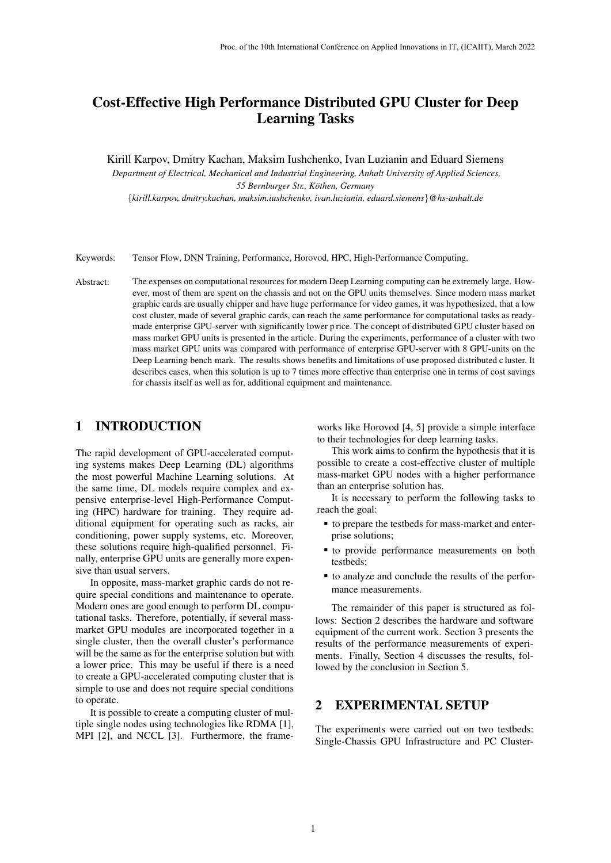# Cost-Effective High Performance Distributed GPU Cluster for Deep Learning Tasks

Kirill Karpov, Dmitry Kachan, Maksim Iushchenko, Ivan Luzianin and Eduard Siemens

*Department of Electrical, Mechanical and Industrial Engineering, Anhalt University of Applied Sciences, 55 Bernburger Str., Kothen, ¨ Germany* {*kirill.karpov, dmitry.kachan, maksim.iushchenko, ivan.luzianin, eduard.siemens*}*@hs-anhalt.de*

Keywords: Tensor Flow, DNN Training, Performance, Horovod, HPC, High-Performance Computing.

Abstract: The expenses on computational resources for modern Deep Learning computing can be extremely large. However, most of them are spent on the chassis and not on the GPU units themselves. Since modern mass market graphic cards are usually chipper and have huge performance for video games, it was hypothesized, that a low cost cluster, made of several graphic cards, can reach the same performance for computational tasks as readymade enterprise GPU-server with significantly lower p rice. The concept of distributed GPU cluster based on mass market GPU units is presented in the article. During the experiments, performance of a cluster with two mass market GPU units was compared with performance of enterprise GPU-server with 8 GPU-units on the Deep Learning bench mark. The results shows benefits and limitations of use proposed distributed c luster. It describes cases, when this solution is up to 7 times more effective than enterprise one in terms of cost savings for chassis itself as well as for, additional equipment and maintenance.

## 1 INTRODUCTION

The rapid development of GPU-accelerated computing systems makes Deep Learning (DL) algorithms the most powerful Machine Learning solutions. At the same time, DL models require complex and expensive enterprise-level High-Performance Computing (HPC) hardware for training. They require additional equipment for operating such as racks, air conditioning, power supply systems, etc. Moreover, these solutions require high-qualified personnel. Finally, enterprise GPU units are generally more expensive than usual servers.

In opposite, mass-market graphic cards do not require special conditions and maintenance to operate. Modern ones are good enough to perform DL computational tasks. Therefore, potentially, if several massmarket GPU modules are incorporated together in a single cluster, then the overall cluster's performance will be the same as for the enterprise solution but with a lower price. This may be useful if there is a need to create a GPU-accelerated computing cluster that is simple to use and does not require special conditions to operate.

It is possible to create a computing cluster of multiple single nodes using technologies like RDMA [\[1\]](#page-5-0), MPI [\[2\]](#page-5-1), and NCCL [\[3\]](#page-5-2). Furthermore, the frameworks like Horovod [\[4,](#page-5-3) [5\]](#page-5-4) provide a simple interface to their technologies for deep learning tasks.

This work aims to confirm the hypothesis that it is possible to create a cost-effective cluster of multiple mass-market GPU nodes with a higher performance than an enterprise solution has.

It is necessary to perform the following tasks to reach the goal:

- to prepare the testbeds for mass-market and enterprise solutions;
- to provide performance measurements on both testbeds;
- to analyze and conclude the results of the performance measurements.

lows: Section 2 describes the hardware and software equipment of the current work. Section 3 presents the results of the performance measurements of experiments. Finally, Section 4 discusses the results, followed by the conclusion in Section 5. The remainder of this paper is structured as fol-

#### 2 EXPERIMENTAL SETUP

The experiments were carried out on two testbeds: Single-Chassis GPU Infrastructure and PC Cluster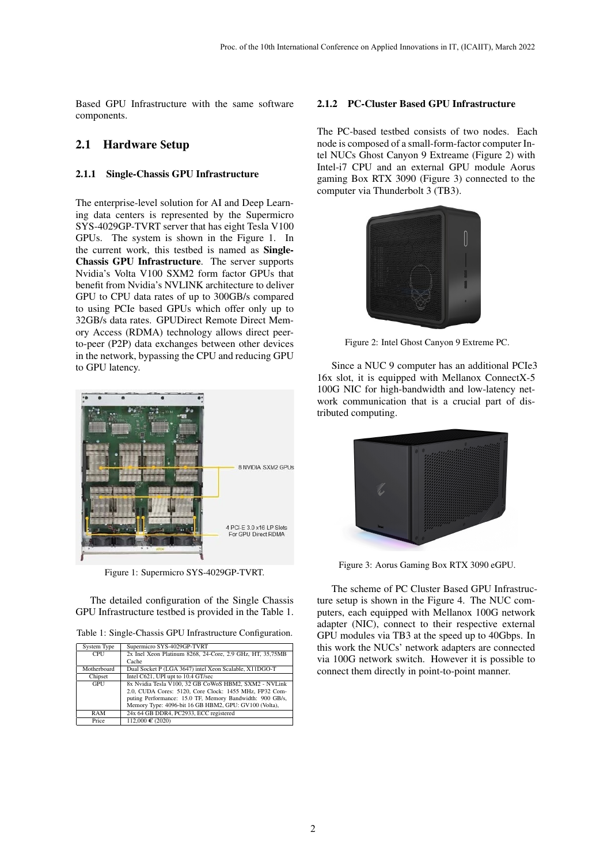Based GPU Infrastructure with the same software components.

## 2.1 Hardware **S**etup

#### 2.1.1 Single-Chassis GPU Infrastructure

The enterprise-level solution for AI and Deep Learning data centers is represented by the Supermicro SYS-4029GP-TVRT server that has eight Tesla V100 GPUs. The system is shown in the Figure 1. In the current work, this testbed is named as Single-Chassis GPU Infrastructure. The server supports Nvidia's Volta V100 SXM2 form factor GPUs that benefit from Nvidia's NVLINK architecture to deliver GPU to CPU data rates of up to 300GB/s compared to using PCIe based GPUs which offer only up to 32GB/s data rates. GPUDirect Remote Direct Memory Access (RDMA) technology allows direct peerto-peer (P2P) data exchanges between other devices in the network, bypassing the CPU and reducing GPU to GPU latency.



Figure 1: Supermicro SYS-4029GP-TVRT.

The detailed configuration of the Single Chassis GPU Infrastructure testbed is provided in the Table 1.

| Table 1: Single-Chassis GPU Infrastructure Configuration. |  |  |  |
|-----------------------------------------------------------|--|--|--|
|-----------------------------------------------------------|--|--|--|

| <b>System Type</b> | Supermicro SYS-4029GP-TVRT                                |
|--------------------|-----------------------------------------------------------|
| <b>CPU</b>         | 2x Inel Xeon Platinum 8268, 24-Core, 2.9 GHz, HT, 35,75MB |
|                    | Cache                                                     |
| Motherboard        | Dual Socket P (LGA 3647) intel Xeon Scalable, X11DGO-T    |
| Chipset            | Intel C621, UPI upt to 10.4 GT/sec                        |
| GPU                | 8x Nvidia Tesla V100, 32 GB CoWoS HBM2, SXM2 - NVLink     |
|                    | 2.0, CUDA Cores: 5120, Core Clock: 1455 MHz, FP32 Com-    |
|                    | puting Performance: 15.0 TF, Memory Bandwidth: 900 GB/s,  |
|                    | Memory Type: 4096-bit 16 GB HBM2, GPU: GV100 (Volta),     |
| RAM                | 24x 64 GB DDR4, PC2933, ECC registered                    |
| Price              | 112,000 € (2020)                                          |

#### 2.1.2 PC-Cluster Based GPU Infrastructure

The PC-based testbed consists of two nodes. Each node is composed of a small-form-factor computer Intel NUCs Ghost Canyon 9 Extreame (Figure 2) with Intel-i7 CPU and an external GPU module Aorus gaming Box RTX 3090 (Figure 3) connected to the computer via Thunderbolt 3 (TB3).



Figure 2: Intel Ghost Canyon 9 Extreme PC.

Since a NUC 9 computer has an additional PCIe3 16x slot, it is equipped with Mellanox ConnectX-5 100G NIC for high-bandwidth and low-latency network communication that is a crucial part of distributed computing.



Figure 3: Aorus Gaming Box RTX 3090 eGPU.

The scheme of PC Cluster Based GPU Infrastructure setup is shown in the Figure 4. The NUC computers, each equipped with Mellanox 100G network adapter (NIC), connect to their respective external GPU modules via TB3 at the speed up to 40Gbps. In this work the NUCs' network adapters are connected via 100G network switch. However it is possible to connect them directly in point-to-point manner.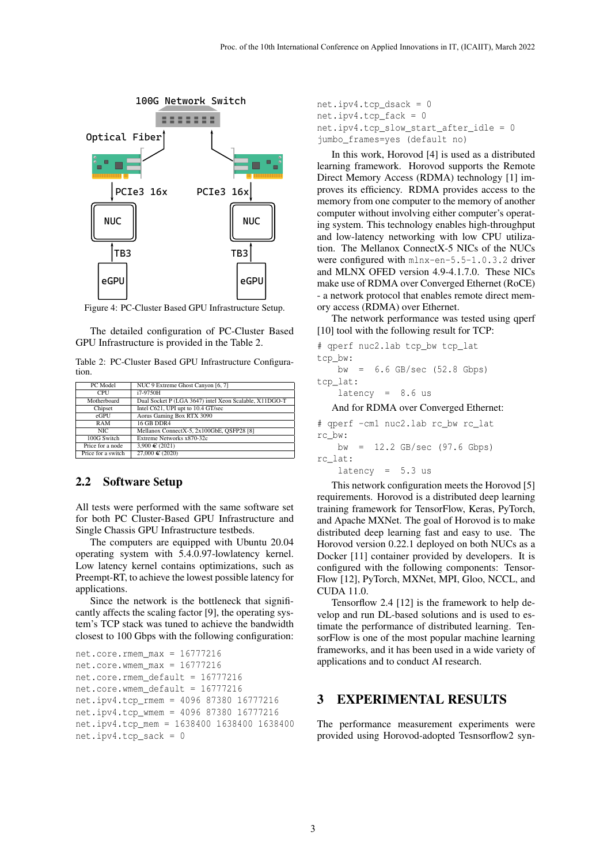

Figure 4: PC-Cluster Based GPU Infrastructure Setup.

The detailed configuration of PC-Cluster Based GPU Infrastructure is provided in the Table [2.](#page-2-0)

<span id="page-2-0"></span>Table 2: PC-Cluster Based GPU Infrastructure Configuration.

| PC Model           | NUC 9 Extreme Ghost Canyon [6, 7]                      |
|--------------------|--------------------------------------------------------|
| <b>CPU</b>         | i7-9750H                                               |
| Motherboard        | Dual Socket P (LGA 3647) intel Xeon Scalable, X11DGO-T |
| Chipset            | Intel C621, UPI upt to 10.4 GT/sec                     |
| eGPU               | Aorus Gaming Box RTX 3090                              |
| RAM                | <b>16 GB DDR4</b>                                      |
| NIC.               | Mellanox ConnectX-5, 2x100GbE, QSFP28 [8]              |
| 100G Switch        | Extreme Networks x870-32c                              |
| Price for a node   | 3,900 € (2021)                                         |
| Price for a switch | 27,000 € (2020)                                        |

#### 2.2 Software **S**etup

All tests were performed with the same software set for both PC Cluster-Based GPU Infrastructure and Single Chassis GPU Infrastructure testbeds.

The computers are equipped with Ubuntu 20.04 operating system with 5.4.0.97-lowlatency kernel. Low latency kernel contains optimizations, such as Preempt-RT, to achieve the lowest possible latency for applications.

Since the network is the bottleneck that significantly affects the scaling factor [\[9\]](#page-5-8), the operating system's TCP stack was tuned to achieve the bandwidth closest to 100 Gbps with the following configuration:

```
net.core.rmem max = 16777216net.core.wmem_max = 16777216
net.core.rmem_default = 16777216
net.core.wmem_default = 16777216
net.ipv4.tcp_rmem = 4096 87380 16777216
net.ipv4.tcp_wmem = 4096 87380 16777216
net.ipv4.tcp_mem = 1638400 1638400 1638400
net.ipv4.tcp sack = 0
```

```
net.ipv4.tcp_dsack = 0
net.ipv4.tcp_fack = 0
net.ipv4.tcp_slow_start_after_idle = 0
jumbo_frames=yes (default no)
```
In this work, Horovod [\[4\]](#page-5-3) is used as a distributed learning framework. Horovod supports the Remote Direct Memory Access (RDMA) technology [\[1\]](#page-5-0) improves its efficiency. RDMA provides access to the memory from one computer to the memory of another computer without involving either computer's operating system. This technology enables high-throughput and low-latency networking with low CPU utilization. The Mellanox ConnectX-5 NICs of the NUCs were configured with mlnx-en-5.5-1.0.3.2 driver and MLNX OFED version 4.9-4.1.7.0. These NICs make use of RDMA over Converged Ethernet (RoCE) - a network protocol that enables remote direct memory access (RDMA) over Ethernet.

The network performance was tested using qperf [\[10\]](#page-5-9) tool with the following result for TCP:

```
# qperf nuc2.lab tcp bw tcp lat
tcp_bw:
   bw = 6.6 GB/sec (52.8 Gbps)
tcp_lat:
   latency = 8.6 us
```
And for RDMA over Converged Ethernet:

# qperf -cm1 nuc2.lab rc\_bw rc\_lat rc\_bw: bw = 12.2 GB/sec (97.6 Gbps) rc\_lat:

 $latency = 5.3 us$ 

This network configuration meets the Horovod [\[5\]](#page-5-4) requirements. Horovod is a distributed deep learning training framework for TensorFlow, Keras, PyTorch, and Apache MXNet. The goal of Horovod is to make distributed deep learning fast and easy to use. The Horovod version 0.22.1 deployed on both NUCs as a Docker [\[11\]](#page-5-10) container provided by developers. It is configured with the following components: Tensor-Flow [\[12\]](#page-5-11), PyTorch, MXNet, MPI, Gloo, NCCL, and CUDA 11.0.

Tensorflow 2.4 [\[12\]](#page-5-11) is the framework to help develop and run DL-based solutions and is used to estimate the performance of distributed learning. TensorFlow is one of the most popular machine learning frameworks, and it has been used in a wide variety of applications and to conduct AI research.

### 3 EXPERIMENTAL RESULTS

The performance measurement experiments were provided using Horovod-adopted Tesnsorflow2 syn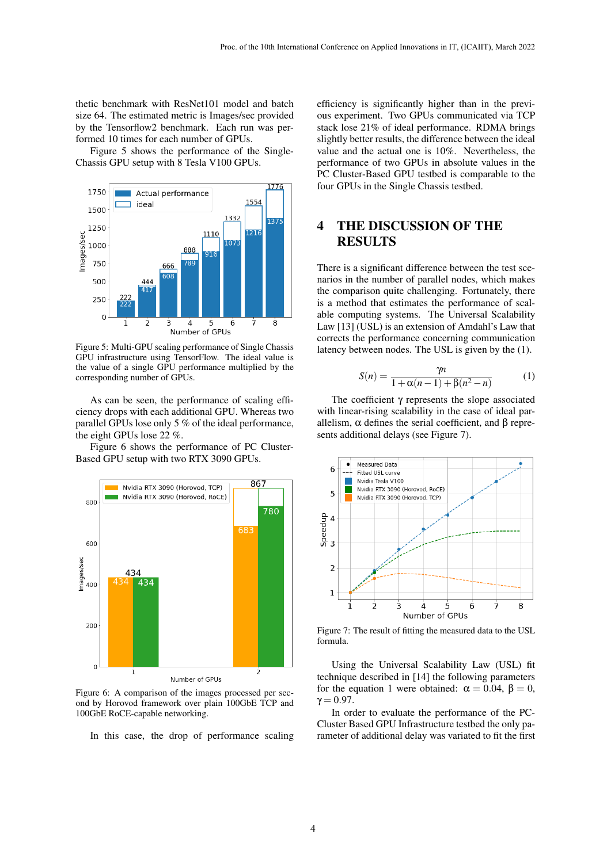thetic benchmark with ResNet101 model and batch size 64. The estimated metric is Images/sec provided by the Tensorflow2 benchmark. Each run was performed 10 times for each number of GPUs.

Figure [5](#page-3-0) shows the performance of the Single-Chassis GPU setup with 8 Tesla V100 GPUs.

<span id="page-3-0"></span>

Figure 5: Multi-GPU scaling performance of Single Chassis GPU infrastructure using TensorFlow. The ideal value is the value of a single GPU performance multiplied by the corresponding number of GPUs.

As can be seen, the performance of scaling efficiency drops with each additional GPU. Whereas two parallel GPUs lose only 5 % of the ideal performance, the eight GPUs lose 22 %.

Figure [6](#page-3-1) shows the performance of PC Cluster-Based GPU setup with two RTX 3090 GPUs.

<span id="page-3-1"></span>

Figure 6: A comparison of the images processed per second by Horovod framework over plain 100GbE TCP and 100GbE RoCE-capable networking.

In this case, the drop of performance scaling

efficiency is significantly higher than in the previous experiment. Two GPUs communicated via TCP stack lose 21% of ideal performance. RDMA brings slightly better results, the difference between the ideal value and the actual one is 10%. Nevertheless, the performance of two GPUs in absolute values in the PC Cluster-Based GPU testbed is comparable to the four GPUs in the Single Chassis testbed.

## 4 THE DISCUSSION OF THE **RESULTS**

There is a significant difference between the test scenarios in the number of parallel nodes, which makes the comparison quite challenging. Fortunately, there is a method that estimates the performance of scalable computing systems. The Universal Scalability Law [\[13\]](#page-5-12) (USL) is an extension of Amdahl's Law that corrects the performance concerning communication latency between nodes. The USL is given by the [\(1\)](#page-3-2).

<span id="page-3-2"></span>
$$
S(n) = \frac{\gamma n}{1 + \alpha(n-1) + \beta(n^2 - n)}
$$
 (1)

The coefficient γ represents the slope associated with linear-rising scalability in the case of ideal parallelism,  $\alpha$  defines the serial coefficient, and β represents additional delays (see Figure [7\)](#page-3-3).

<span id="page-3-3"></span>

Figure 7: The result of fitting the measured data to the USL formula.

Using the Universal Scalability Law (USL) fit technique described in [\[14\]](#page-5-13) the following parameters for the equation [1](#page-3-2) were obtained:  $\alpha = 0.04$ ,  $\beta = 0$ ,  $\gamma = 0.97$ .

In order to evaluate the performance of the PC-Cluster Based GPU Infrastructure testbed the only parameter of additional delay was variated to fit the first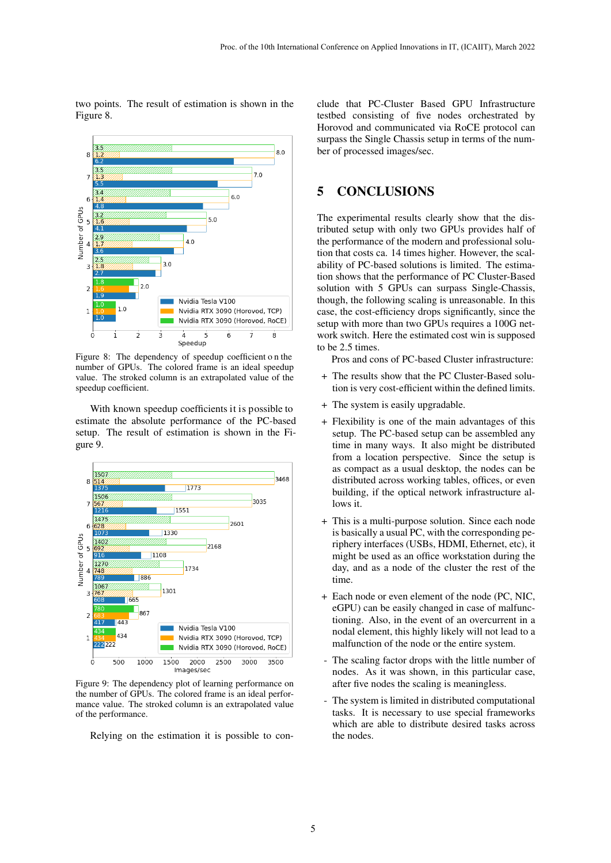two points. The result of estimation is shown in the Figure [8.](#page-4-0)

<span id="page-4-0"></span>

Figure 8: The dependency of speedup coefficient o n the number of GPUs. The colored frame is an ideal speedup value. The stroked column is an extrapolated value of the speedup coefficient.

With known speedup coefficients it is possible to estimate the absolute performance of the PC-based setup. The result of estimation is shown in the Figure [9.](#page-4-1)

<span id="page-4-1"></span>

Figure 9: The dependency plot of learning performance on the number of GPUs. The colored frame is an ideal performance value. The stroked column is an extrapolated value of the performance.

Relying on the estimation it is possible to con-

clude that PC-Cluster Based GPU Infrastructure testbed consisting of five nodes orchestrated by Horovod and communicated via RoCE protocol can surpass the Single Chassis setup in terms of the number of processed images/sec.

## 5 CONCLUSIONS

The experimental results clearly show that the distributed setup with only two GPUs provides half of the performance of the modern and professional solution that costs ca. 14 times higher. However, the scalability of PC-based solutions is limited. The estimation shows that the performance of PC Cluster-Based solution with 5 GPUs can surpass Single-Chassis, though, the following scaling is unreasonable. In this case, the cost-efficiency drops significantly, since the setup with more than two GPUs requires a 100G network switch. Here the estimated cost win is supposed to be 2.5 times.

Pros and cons of PC-based Cluster infrastructure:

- + The results show that the PC Cluster-Based solution is very cost-efficient within the defined limits.
- + The system is easily upgradable.
- + Flexibility is one of the main advantages of this setup. The PC-based setup can be assembled any time in many ways. It also might be distributed from a location perspective. Since the setup is as compact as a usual desktop, the nodes can be distributed across working tables, offices, or even building, if the optical network infrastructure allows it.
- + This is a multi-purpose solution. Since each node is basically a usual PC, with the corresponding periphery interfaces (USBs, HDMI, Ethernet, etc), it might be used as an office workstation during the day, and as a node of the cluster the rest of the time.
- + Each node or even element of the node (PC, NIC, eGPU) can be easily changed in case of malfunctioning. Also, in the event of an overcurrent in a nodal element, this highly likely will not lead to a malfunction of the node or the entire system.
- The scaling factor drops with the little number of nodes. As it was shown, in this particular case, after five nodes the scaling is meaningless.
- The system is limited in distributed computational tasks. It is necessary to use special frameworks which are able to distribute desired tasks across the nodes.